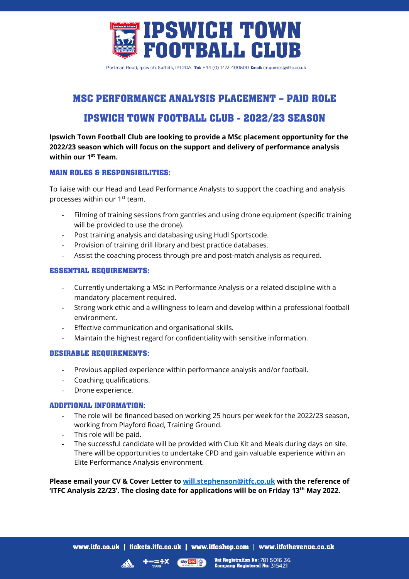

Portman Road, Ipswich, Suffolk, IP1 2DA. Tel: +44 (0) 1473 400500 Email: enquiries@itfc.co.uk

# **MSC PERFORMANCE ANALYSIS PLACEMENT – PAID ROLE**

## **IPSWICH TOWN FOOTBALL CLUB - 2022/23 SEASON**

**Ipswich Town Football Club are looking to provide a MSc placement opportunity for the 2022/23 season which will focus on the support and delivery of performance analysis within our 1st Team.**

## **MAIN ROLES & RESPONSIBILITIES:**

To liaise with our Head and Lead Performance Analysts to support the coaching and analysis processes within our 1st team.

- Filming of training sessions from gantries and using drone equipment (specific training will be provided to use the drone).
- Post training analysis and databasing using Hudl Sportscode.
- Provision of training drill library and best practice databases.
- Assist the coaching process through pre and post-match analysis as required.

## **ESSENTIAL REQUIREMENTS:**

- Currently undertaking a MSc in Performance Analysis or a related discipline with a mandatory placement required.
- Strong work ethic and a willingness to learn and develop within a professional football environment.
- Effective communication and organisational skills.
- Maintain the highest regard for confidentiality with sensitive information.

## **DESIRABLE REQUIREMENTS:**

- Previous applied experience within performance analysis and/or football.
- Coaching qualifications.
- Drone experience.

## **ADDITIONAL INFORMATION:**

- The role will be financed based on working 25 hours per week for the 2022/23 season, working from Playford Road, Training Ground.
- This role will be paid.
- The successful candidate will be provided with Club Kit and Meals during days on site. There will be opportunities to undertake CPD and gain valuable experience within an Elite Performance Analysis environment.

**Please email your CV & Cover Letter to will.stephenson@itfc.co.uk with the reference of 'ITFC Analysis 22/23'. The closing date for applications will be on Friday 13th May 2022.**

sky bet

Vat Registration No: 781 5016 36.<br>Company Registered No: 315421